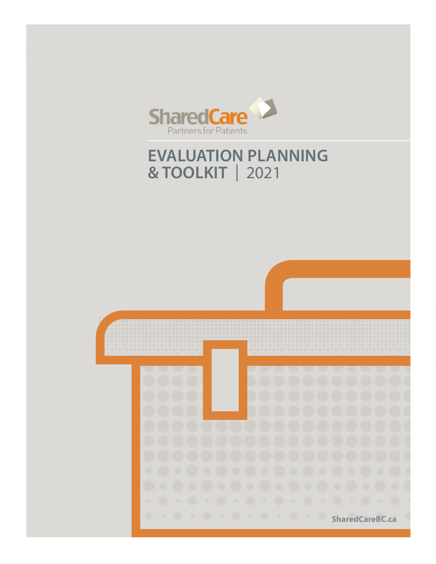

# **EVALUATION PLANNING & TOOLKIT** | 2021

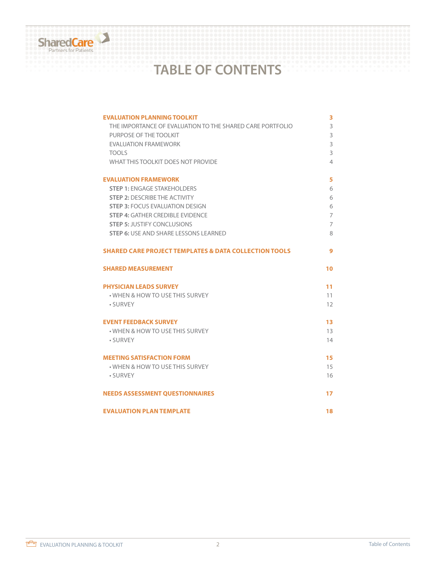

# **TABLE OF CONTENTS**

| <b>EVALUATION PLANNING TOOLKIT</b><br>THE IMPORTANCE OF EVALUATION TO THE SHARED CARE PORTFOLIO<br>PURPOSE OF THE TOOLKIT<br><b>FVAI UATION FRAMEWORK</b><br><b>TOOLS</b><br>WHAT THIS TOOL KIT DOES NOT PROVIDE | 3<br>3<br>3<br>3<br>3<br>4 |
|------------------------------------------------------------------------------------------------------------------------------------------------------------------------------------------------------------------|----------------------------|
| <b>EVALUATION FRAMEWORK</b>                                                                                                                                                                                      | 5                          |
| <b>STEP 1: ENGAGE STAKEHOLDERS</b>                                                                                                                                                                               | 6                          |
| <b>STEP 2: DESCRIBE THE ACTIVITY</b>                                                                                                                                                                             | 6                          |
| <b>STEP 3: FOCUS EVALUATION DESIGN</b>                                                                                                                                                                           | 6                          |
| <b>STEP 4: GATHER CREDIBLE EVIDENCE</b>                                                                                                                                                                          | 7                          |
| <b>STEP 5: JUSTIFY CONCLUSIONS</b>                                                                                                                                                                               | 7                          |
| <b>STEP 6: USE AND SHARE LESSONS LEARNED</b>                                                                                                                                                                     | 8                          |
| <b>SHARED CARE PROJECT TEMPLATES &amp; DATA COLLECTION TOOLS</b>                                                                                                                                                 | 9                          |
|                                                                                                                                                                                                                  |                            |
| <b>SHARED MEASUREMENT</b>                                                                                                                                                                                        | 10                         |
| <b>PHYSICIAN LEADS SURVEY</b>                                                                                                                                                                                    | 11                         |
| • WHEN & HOW TO USE THIS SURVEY                                                                                                                                                                                  | 11                         |
| • SURVEY                                                                                                                                                                                                         | 12                         |
| <b>EVENT FEEDBACK SURVEY</b>                                                                                                                                                                                     | 13                         |
| • WHEN & HOW TO USE THIS SURVEY                                                                                                                                                                                  | 13                         |
| • SURVEY                                                                                                                                                                                                         | 14                         |
| <b>MEETING SATISFACTION FORM</b>                                                                                                                                                                                 | 15                         |
| • WHEN & HOW TO USE THIS SURVEY                                                                                                                                                                                  | 15                         |
| • SURVEY                                                                                                                                                                                                         | 16                         |
| <b>NEEDS ASSESSMENT QUESTIONNAIRES</b>                                                                                                                                                                           | 17                         |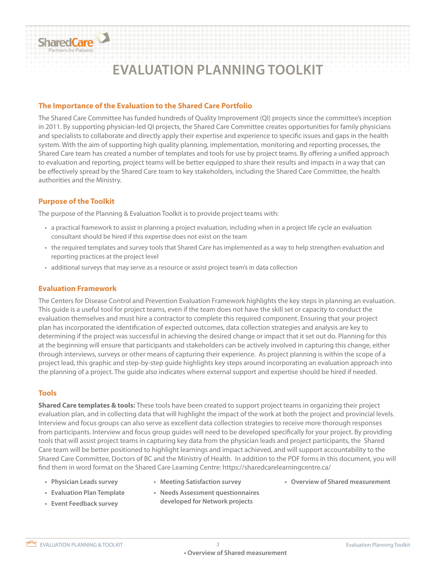

# **EVALUATION PLANNING TOOLKIT**

#### **The Importance of the Evaluation to the Shared Care Portfolio**

The Shared Care Committee has funded hundreds of Quality Improvement (QI) projects since the committee's inception in 2011. By supporting physician-led QI projects, the Shared Care Committee creates opportunities for family physicians and specialists to collaborate and directly apply their expertise and experience to specific issues and gaps in the health system. With the aim of supporting high quality planning, implementation, monitoring and reporting processes, the Shared Care team has created a number of templates and tools for use by project teams. By offering a unified approach to evaluation and reporting, project teams will be better equipped to share their results and impacts in a way that can be effectively spread by the Shared Care team to key stakeholders, including the Shared Care Committee, the health authorities and the Ministry.

#### **Purpose of the Toolkit**

The purpose of the Planning & Evaluation Toolkit is to provide project teams with:

- a practical framework to assist in planning a project evaluation, including when in a project life cycle an evaluation consultant should be hired if this expertise does not exist on the team
- the required templates and survey tools that Shared Care has implemented as a way to help strengthen evaluation and reporting practices at the project level
- additional surveys that may serve as a resource or assist project team's in data collection

#### **Evaluation Framework**

The Centers for Disease Control and Prevention Evaluation Framework highlights the key steps in planning an evaluation. This guide is a useful tool for project teams, even if the team does not have the skill set or capacity to conduct the evaluation themselves and must hire a contractor to complete this required component. Ensuring that your project plan has incorporated the identification of expected outcomes, data collection strategies and analysis are key to determining if the project was successful in achieving the desired change or impact that it set out do. Planning for this at the beginning will ensure that participants and stakeholders can be actively involved in capturing this change, either through interviews, surveys or other means of capturing their experience. As project planning is within the scope of a project lead, this graphic and step-by-step guide highlights key steps around incorporating an evaluation approach into the planning of a project. The guide also indicates where external support and expertise should be hired if needed.

#### **Tools**

**Shared Care templates & tools:** These tools have been created to support project teams in organizing their project evaluation plan, and in collecting data that will highlight the impact of the work at both the project and provincial levels. Interview and focus groups can also serve as excellent data collection strategies to receive more thorough responses from participants. Interview and focus group guides will need to be developed specifically for your project. By providing tools that will assist project teams in capturing key data from the physician leads and project participants, the Shared Care team will be better positioned to highlight learnings and impact achieved, and will support accountability to the Shared Care Committee, Doctors of BC and the Ministry of Health. In addition to the PDF forms in this document, you will find them in word format on the Shared Care Learning Centre: https://sharedcarelearningcentre.ca/

- 
- 
- **• Physician Leads survey Meeting Satisfaction survey Overview of Shared measurement**
	-
- 
- **• Evaluation Plan Template Needs Assessment questionnaires • Event Feedback survey developed for Network projects**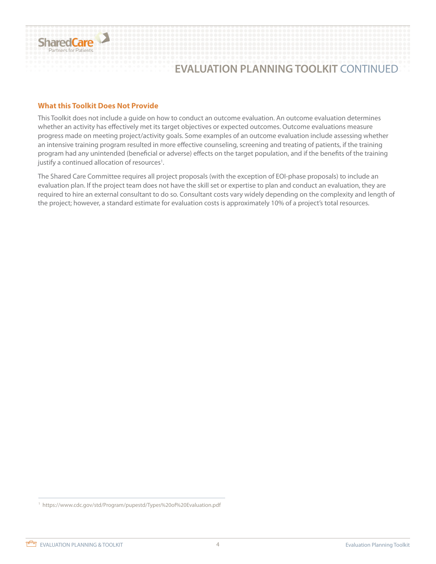

### **EVALUATION PLANNING TOOLKIT** CONTINUED

#### **What this Toolkit Does Not Provide**

This Toolkit does not include a guide on how to conduct an outcome evaluation. An outcome evaluation determines whether an activity has effectively met its target objectives or expected outcomes. Outcome evaluations measure progress made on meeting project/activity goals. Some examples of an outcome evaluation include assessing whether an intensive training program resulted in more effective counseling, screening and treating of patients, if the training program had any unintended (beneficial or adverse) effects on the target population, and if the benefits of the training justify a continued allocation of resources<sup>1</sup>.

The Shared Care Committee requires all project proposals (with the exception of EOI-phase proposals) to include an evaluation plan. If the project team does not have the skill set or expertise to plan and conduct an evaluation, they are required to hire an external consultant to do so. Consultant costs vary widely depending on the complexity and length of the project; however, a standard estimate for evaluation costs is approximately 10% of a project's total resources.

1 https://www.cdc.gov/std/Program/pupestd/Types%20of%20Evaluation.pdf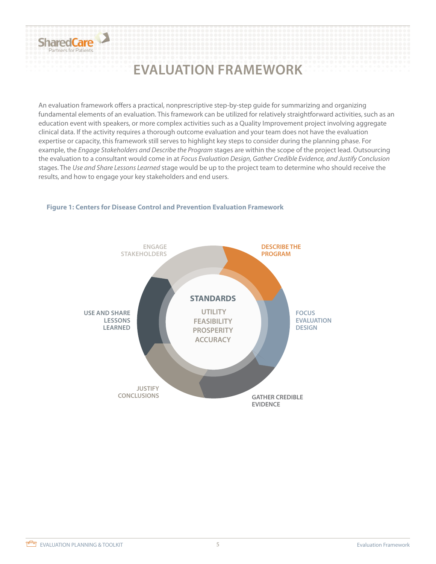

# **EVALUATION FRAMEWORK**

An evaluation framework offers a practical, nonprescriptive step-by-step guide for summarizing and organizing fundamental elements of an evaluation. This framework can be utilized for relatively straightforward activities, such as an education event with speakers, or more complex activities such as a Quality Improvement project involving aggregate clinical data. If the activity requires a thorough outcome evaluation and your team does not have the evaluation expertise or capacity, this framework still serves to highlight key steps to consider during the planning phase. For example, the *Engage Stakeholders and Describe the Program* stages are within the scope of the project lead. Outsourcing the evaluation to a consultant would come in at *Focus Evaluation Design, Gather Credible Evidence, and Justify Conclusion* stages. The *Use and Share Lessons Learned* stage would be up to the project team to determine who should receive the results, and how to engage your key stakeholders and end users.



#### **Figure 1: Centers for Disease Control and Prevention Evaluation Framework**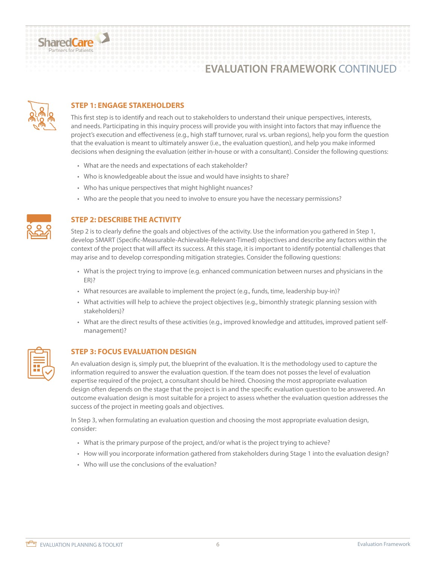

### **EVALUATION FRAMEWORK** CONTINUED



#### **STEP 1: ENGAGE STAKEHOLDERS**

This first step is to identify and reach out to stakeholders to understand their unique perspectives, interests, and needs. Participating in this inquiry process will provide you with insight into factors that may influence the project's execution and effectiveness (e.g., high staff turnover, rural vs. urban regions), help you form the question that the evaluation is meant to ultimately answer (i.e., the evaluation question), and help you make informed decisions when designing the evaluation (either in-house or with a consultant). Consider the following questions:

- What are the needs and expectations of each stakeholder?
- Who is knowledgeable about the issue and would have insights to share?
- Who has unique perspectives that might highlight nuances?
- Who are the people that you need to involve to ensure you have the necessary permissions?



#### **STEP 2: DESCRIBE THE ACTIVITY**

Step 2 is to clearly define the goals and objectives of the activity. Use the information you gathered in Step 1, develop SMART (Specific-Measurable-Achievable-Relevant-Timed) objectives and describe any factors within the context of the project that will affect its success. At this stage, it is important to identify potential challenges that may arise and to develop corresponding mitigation strategies. Consider the following questions:

- What is the project trying to improve (e.g. enhanced communication between nurses and physicians in the ER)?
- What resources are available to implement the project (e.g., funds, time, leadership buy-in)?
- What activities will help to achieve the project objectives (e.g., bimonthly strategic planning session with stakeholders)?
- What are the direct results of these activities (e.g., improved knowledge and attitudes, improved patient selfmanagement)?



#### **STEP 3: FOCUS EVALUATION DESIGN**

An evaluation design is, simply put, the blueprint of the evaluation. It is the methodology used to capture the information required to answer the evaluation question. If the team does not posses the level of evaluation expertise required of the project, a consultant should be hired. Choosing the most appropriate evaluation design often depends on the stage that the project is in and the specific evaluation question to be answered. An outcome evaluation design is most suitable for a project to assess whether the evaluation question addresses the success of the project in meeting goals and objectives.

In Step 3, when formulating an evaluation question and choosing the most appropriate evaluation design, consider:

- What is the primary purpose of the project, and/or what is the project trying to achieve?
- How will you incorporate information gathered from stakeholders during Stage 1 into the evaluation design?
- Who will use the conclusions of the evaluation?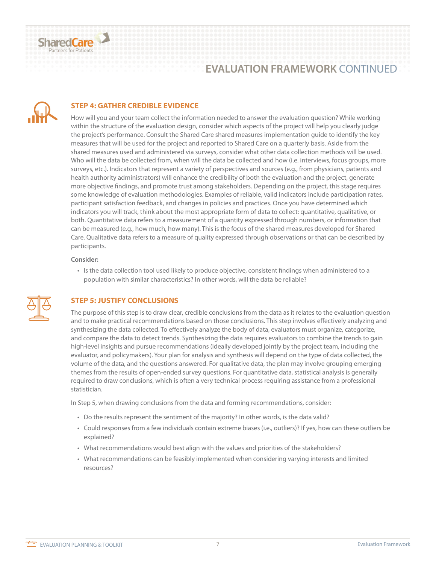

### **EVALUATION FRAMEWORK** CONTINUED



#### **STEP 4: GATHER CREDIBLE EVIDENCE**

How will you and your team collect the information needed to answer the evaluation question? While working within the structure of the evaluation design, consider which aspects of the project will help you clearly judge the project's performance. Consult the Shared Care shared measures implementation guide to identify the key measures that will be used for the project and reported to Shared Care on a quarterly basis. Aside from the shared measures used and administered via surveys, consider what other data collection methods will be used. Who will the data be collected from, when will the data be collected and how (i.e. interviews, focus groups, more surveys, etc.). Indicators that represent a variety of perspectives and sources (e.g., from physicians, patients and health authority administrators) will enhance the credibility of both the evaluation and the project, generate more objective findings, and promote trust among stakeholders. Depending on the project, this stage requires some knowledge of evaluation methodologies. Examples of reliable, valid indicators include participation rates, participant satisfaction feedback, and changes in policies and practices. Once you have determined which indicators you will track, think about the most appropriate form of data to collect: quantitative, qualitative, or both. Quantitative data refers to a measurement of a quantity expressed through numbers, or information that can be measured (e.g., how much, how many). This is the focus of the shared measures developed for Shared Care. Qualitative data refers to a measure of quality expressed through observations or that can be described by participants.

#### **Consider:**

• Is the data collection tool used likely to produce objective, consistent findings when administered to a population with similar characteristics? In other words, will the data be reliable?



#### **STEP 5: JUSTIFY CONCLUSIONS**

The purpose of this step is to draw clear, credible conclusions from the data as it relates to the evaluation question and to make practical recommendations based on those conclusions. This step involves effectively analyzing and synthesizing the data collected. To effectively analyze the body of data, evaluators must organize, categorize, and compare the data to detect trends. Synthesizing the data requires evaluators to combine the trends to gain high-level insights and pursue recommendations (ideally developed jointly by the project team, including the evaluator, and policymakers). Your plan for analysis and synthesis will depend on the type of data collected, the volume of the data, and the questions answered. For qualitative data, the plan may involve grouping emerging themes from the results of open-ended survey questions. For quantitative data, statistical analysis is generally required to draw conclusions, which is often a very technical process requiring assistance from a professional statistician.

In Step 5, when drawing conclusions from the data and forming recommendations, consider:

- Do the results represent the sentiment of the majority? In other words, is the data valid?
- Could responses from a few individuals contain extreme biases (i.e., outliers)? If yes, how can these outliers be explained?
- What recommendations would best align with the values and priorities of the stakeholders?
- What recommendations can be feasibly implemented when considering varying interests and limited resources?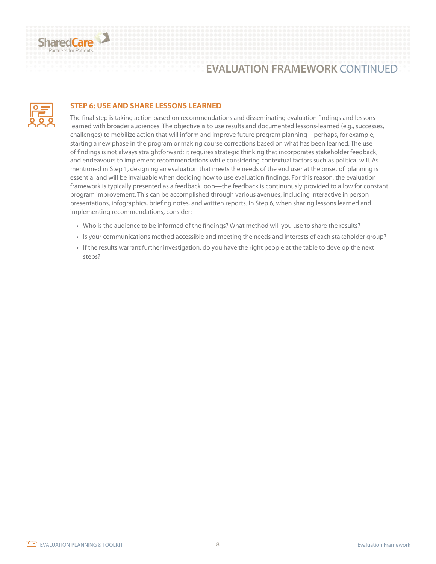

### **EVALUATION FRAMEWORK** CONTINUED



#### **STEP 6: USE AND SHARE LESSONS LEARNED**

The final step is taking action based on recommendations and disseminating evaluation findings and lessons learned with broader audiences. The objective is to use results and documented lessons-learned (e.g., successes, challenges) to mobilize action that will inform and improve future program planning—perhaps, for example, starting a new phase in the program or making course corrections based on what has been learned. The use of findings is not always straightforward: it requires strategic thinking that incorporates stakeholder feedback, and endeavours to implement recommendations while considering contextual factors such as political will. As mentioned in Step 1, designing an evaluation that meets the needs of the end user at the onset of planning is essential and will be invaluable when deciding how to use evaluation findings. For this reason, the evaluation framework is typically presented as a feedback loop—the feedback is continuously provided to allow for constant program improvement. This can be accomplished through various avenues, including interactive in person presentations, infographics, briefing notes, and written reports. In Step 6, when sharing lessons learned and implementing recommendations, consider:

- Who is the audience to be informed of the findings? What method will you use to share the results?
- Is your communications method accessible and meeting the needs and interests of each stakeholder group?
- If the results warrant further investigation, do you have the right people at the table to develop the next steps?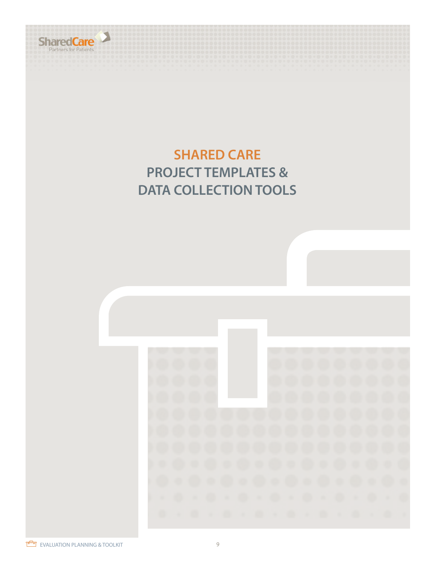

# **SHARED CARE PROJECT TEMPLATES & DATA COLLECTION TOOLS**

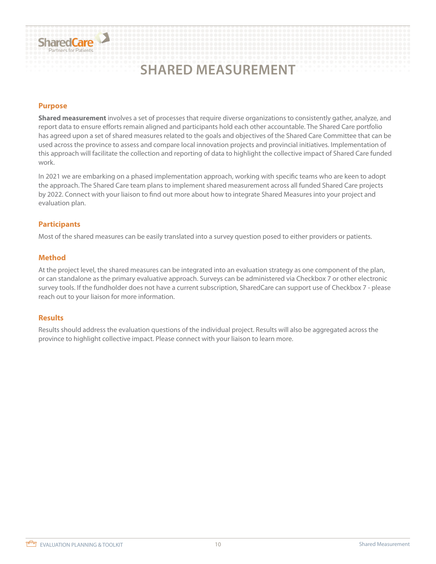# **SHARED MEASUREMENT**

#### **Purpose**

SharedCare

**Shared measurement** involves a set of processes that require diverse organizations to consistently gather, analyze, and report data to ensure efforts remain aligned and participants hold each other accountable. The Shared Care portfolio has agreed upon a set of shared measures related to the goals and objectives of the Shared Care Committee that can be used across the province to assess and compare local innovation projects and provincial initiatives. Implementation of this approach will facilitate the collection and reporting of data to highlight the collective impact of Shared Care funded work.

In 2021 we are embarking on a phased implementation approach, working with specific teams who are keen to adopt the approach. The Shared Care team plans to implement shared measurement across all funded Shared Care projects by 2022. Connect with your liaison to find out more about how to integrate Shared Measures into your project and evaluation plan.

#### **Participants**

Most of the shared measures can be easily translated into a survey question posed to either providers or patients.

#### **Method**

At the project level, the shared measures can be integrated into an evaluation strategy as one component of the plan, or can standalone as the primary evaluative approach. Surveys can be administered via Checkbox 7 or other electronic survey tools. If the fundholder does not have a current subscription, SharedCare can support use of Checkbox 7 - please reach out to your liaison for more information.

#### **Results**

Results should address the evaluation questions of the individual project. Results will also be aggregated across the province to highlight collective impact. Please connect with your liaison to learn more.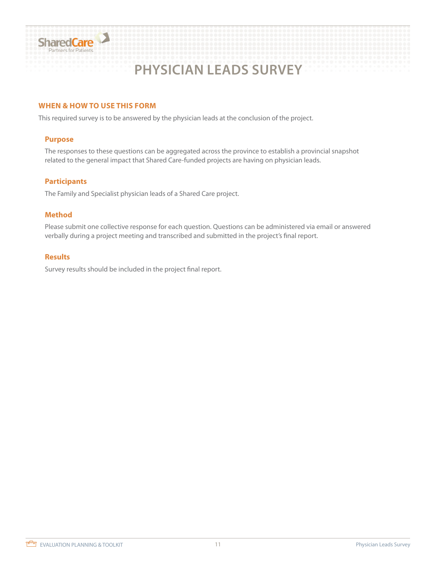

# **PHYSICIAN LEADS SURVEY**

#### **WHEN & HOW TO USE THIS FORM**

This required survey is to be answered by the physician leads at the conclusion of the project.

#### **Purpose**

The responses to these questions can be aggregated across the province to establish a provincial snapshot related to the general impact that Shared Care-funded projects are having on physician leads.

#### **Participants**

The Family and Specialist physician leads of a Shared Care project.

#### **Method**

Please submit one collective response for each question. Questions can be administered via email or answered verbally during a project meeting and transcribed and submitted in the project's final report.

#### **Results**

Survey results should be included in the project final report.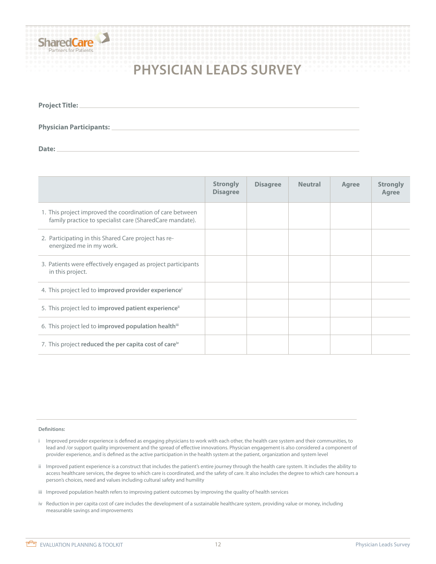

# **PHYSICIAN LEADS SURVEY**

| Project Title: _ |  |  |  |  |
|------------------|--|--|--|--|
|                  |  |  |  |  |
|                  |  |  |  |  |

**Physician Participants:**

Date:

|                                                                                                                       | <b>Strongly</b><br><b>Disagree</b> | <b>Disagree</b> | <b>Neutral</b> | Agree | <b>Strongly</b><br>Agree |
|-----------------------------------------------------------------------------------------------------------------------|------------------------------------|-----------------|----------------|-------|--------------------------|
| 1. This project improved the coordination of care between<br>family practice to specialist care (SharedCare mandate). |                                    |                 |                |       |                          |
| 2. Participating in this Shared Care project has re-<br>energized me in my work.                                      |                                    |                 |                |       |                          |
| 3. Patients were effectively engaged as project participants<br>in this project.                                      |                                    |                 |                |       |                          |
| 4. This project led to improved provider experience <sup>i</sup>                                                      |                                    |                 |                |       |                          |
| 5. This project led to improved patient experience <sup>ii</sup>                                                      |                                    |                 |                |       |                          |
| 6. This project led to improved population healthiii                                                                  |                                    |                 |                |       |                          |
| 7. This project reduced the per capita cost of care <sup>iv</sup>                                                     |                                    |                 |                |       |                          |

#### **Definitions:**

- i Improved provider experience is defined as engaging physicians to work with each other, the health care system and their communities, to lead and /or support quality improvement and the spread of effective innovations. Physician engagement is also considered a component of provider experience, and is defined as the active participation in the health system at the patient, organization and system level
- ii Improved patient experience is a construct that includes the patient's entire journey through the health care system. It includes the ability to access healthcare services, the degree to which care is coordinated, and the safety of care. It also includes the degree to which care honours a person's choices, need and values including cultural safety and humility
- iii Improved population health refers to improving patient outcomes by improving the quality of health services
- iv Reduction in per capita cost of care includes the development of a sustainable healthcare system, providing value or money, including measurable savings and improvements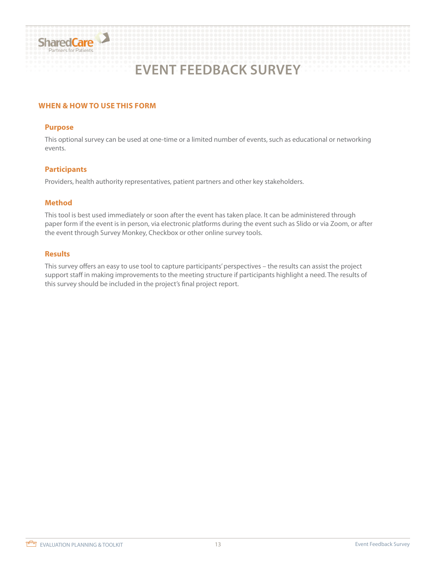

# **EVENT FEEDBACK SURVEY**

#### **WHEN & HOW TO USE THIS FORM**

#### **Purpose**

This optional survey can be used at one-time or a limited number of events, such as educational or networking events.

#### **Participants**

Providers, health authority representatives, patient partners and other key stakeholders.

#### **Method**

This tool is best used immediately or soon after the event has taken place. It can be administered through paper form if the event is in person, via electronic platforms during the event such as Slido or via Zoom, or after the event through Survey Monkey, Checkbox or other online survey tools.

#### **Results**

This survey offers an easy to use tool to capture participants' perspectives – the results can assist the project support staff in making improvements to the meeting structure if participants highlight a need. The results of this survey should be included in the project's final project report.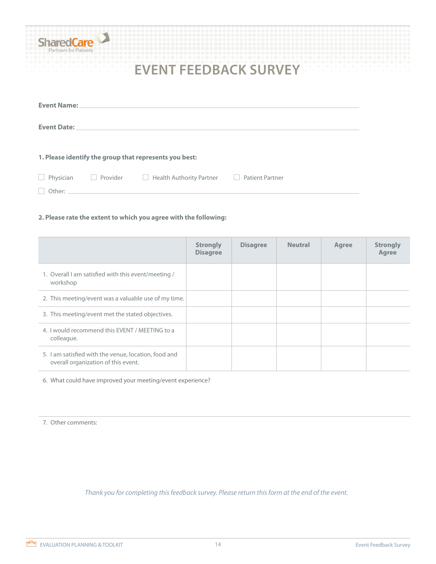| Nr<br>Partners for Patients | are      |                                                        |                        |  |
|-----------------------------|----------|--------------------------------------------------------|------------------------|--|
|                             |          | <b>EVENT FEEDBACK SURVEY</b>                           |                        |  |
| <b>Event Name:</b>          |          |                                                        |                        |  |
| <b>Event Date:</b>          |          |                                                        |                        |  |
|                             |          |                                                        |                        |  |
|                             |          | 1. Please identify the group that represents you best: |                        |  |
| Physician                   | Provider | Health Authority Partner                               | <b>Patient Partner</b> |  |
| Other:                      |          |                                                        |                        |  |

#### **2. Please rate the extent to which you agree with the following:**

|                                                                                             | <b>Strongly</b><br><b>Disagree</b> | <b>Disagree</b> | <b>Neutral</b> | Agree | <b>Strongly</b><br>Agree |
|---------------------------------------------------------------------------------------------|------------------------------------|-----------------|----------------|-------|--------------------------|
| 1. Overall I am satisfied with this event/meeting /<br>workshop                             |                                    |                 |                |       |                          |
| 2. This meeting/event was a valuable use of my time.                                        |                                    |                 |                |       |                          |
| 3. This meeting/event met the stated objectives.                                            |                                    |                 |                |       |                          |
| 4. I would recommend this EVENT / MEETING to a<br>colleague.                                |                                    |                 |                |       |                          |
| 5. I am satisfied with the venue, location, food and<br>overall organization of this event. |                                    |                 |                |       |                          |

6. What could have improved your meeting/event experience?

7. Other comments:

*Thank you for completing this feedback survey. Please return this form at the end of the event.*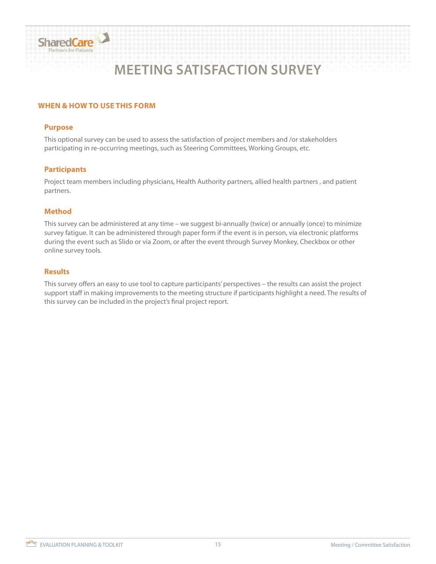

# **MEETING SATISFACTION SURVEY**

#### **WHEN & HOW TO USE THIS FORM**

#### **Purpose**

This optional survey can be used to assess the satisfaction of project members and /or stakeholders participating in re-occurring meetings, such as Steering Committees, Working Groups, etc.

#### **Participants**

Project team members including physicians, Health Authority partners, allied health partners , and patient partners.

#### **Method**

This survey can be administered at any time – we suggest bi-annually (twice) or annually (once) to minimize survey fatigue. It can be administered through paper form if the event is in person, via electronic platforms during the event such as Slido or via Zoom, or after the event through Survey Monkey, Checkbox or other online survey tools.

#### **Results**

This survey offers an easy to use tool to capture participants' perspectives – the results can assist the project support staff in making improvements to the meeting structure if participants highlight a need. The results of this survey can be included in the project's final project report.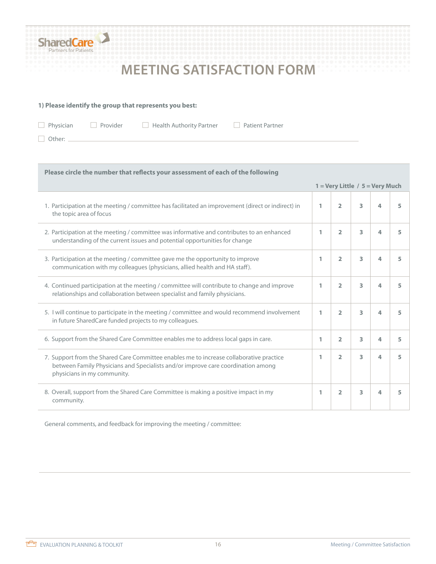

# **MEETING SATISFACTION FORM**

#### **1) Please identify the group that represents you best:**

Physician Provider Health Authority Partner Patient Partner

 $\Box$  Other:  $\Box$ 

| Please circle the number that reflects your assessment of each of the following                                                                                                                            |   |                                     |   |   |   |
|------------------------------------------------------------------------------------------------------------------------------------------------------------------------------------------------------------|---|-------------------------------------|---|---|---|
|                                                                                                                                                                                                            |   | $1 =$ Very Little / $5 =$ Very Much |   |   |   |
| 1. Participation at the meeting / committee has facilitated an improvement (direct or indirect) in<br>the topic area of focus                                                                              | 1 | $\overline{2}$                      | 3 | 4 | 5 |
| 2. Participation at the meeting / committee was informative and contributes to an enhanced<br>understanding of the current issues and potential opportunities for change                                   | 1 | $\overline{2}$                      | 3 | 4 | 5 |
| 3. Participation at the meeting / committee gave me the opportunity to improve<br>communication with my colleagues (physicians, allied health and HA staff).                                               | 1 | $\overline{2}$                      | 3 | 4 | 5 |
| 4. Continued participation at the meeting / committee will contribute to change and improve<br>relationships and collaboration between specialist and family physicians.                                   | 1 | 2                                   | 3 | 4 | 5 |
| 5. I will continue to participate in the meeting / committee and would recommend involvement<br>in future SharedCare funded projects to my colleagues.                                                     | 1 | $\overline{2}$                      | 3 | 4 | 5 |
| 6. Support from the Shared Care Committee enables me to address local gaps in care.                                                                                                                        | 1 | $\overline{2}$                      | 3 | 4 | 5 |
| 7. Support from the Shared Care Committee enables me to increase collaborative practice<br>between Family Physicians and Specialists and/or improve care coordination among<br>physicians in my community. | 1 | $\overline{2}$                      | 3 | 4 | 5 |
| 8. Overall, support from the Shared Care Committee is making a positive impact in my<br>community.                                                                                                         | 1 | $\overline{2}$                      | 3 | 4 | 5 |

General comments, and feedback for improving the meeting / committee: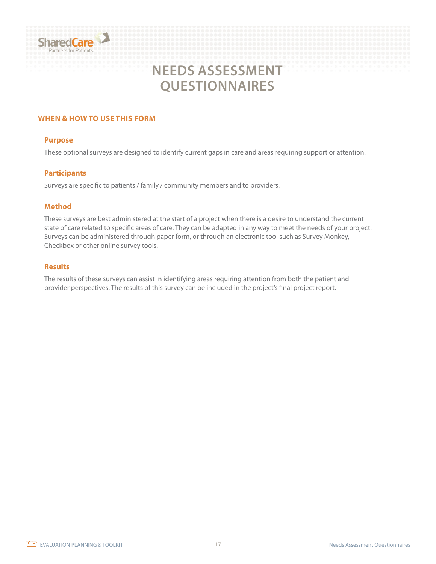# SharedCare

# **NEEDS ASSESSMENT QUESTIONNAIRES**

#### **WHEN & HOW TO USE THIS FORM**

#### **Purpose**

These optional surveys are designed to identify current gaps in care and areas requiring support or attention.

#### **Participants**

Surveys are specific to patients / family / community members and to providers.

#### **Method**

These surveys are best administered at the start of a project when there is a desire to understand the current state of care related to specific areas of care. They can be adapted in any way to meet the needs of your project. Surveys can be administered through paper form, or through an electronic tool such as Survey Monkey, Checkbox or other online survey tools.

#### **Results**

The results of these surveys can assist in identifying areas requiring attention from both the patient and provider perspectives. The results of this survey can be included in the project's final project report.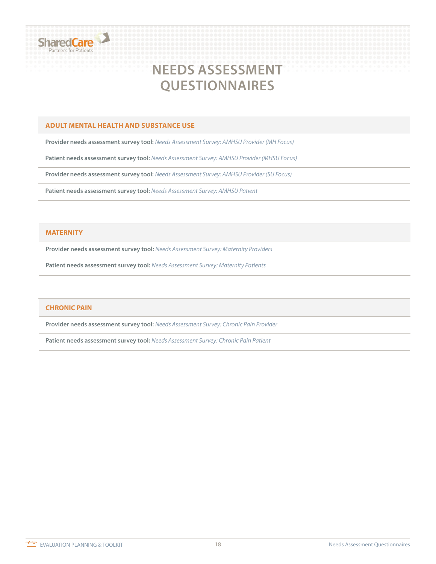

## **NEEDS ASSESSMENT QUESTIONNAIRES**

#### **ADULT MENTAL HEALTH AND SUBSTANCE USE**

**Provider needs assessment survey tool:** *[Needs Assessment Survey: AMHSU Provider \(MH Focus\)](https://sharedcarelearningcentre.ca/wp-content/uploads/2021/10/Needs-Assessment-Survey_AMHSU-Provider-MH-Focus-ID-295000.docx)*

**Patient needs assessment survey tool:** *[Needs Assessment Survey: AMHSU Provider \(MHSU Focus\)](https://sharedcarelearningcentre.ca/wp-content/uploads/2021/10/Needs-Assessment-Survey_AMHSU-ProviderMHSU-Focus-ID-295001.docx)*

**Provider needs assessment survey tool:** *[Needs Assessment Survey: AMHSU Provider \(SU Focus\)](https://sharedcarelearningcentre.ca/wp-content/uploads/2021/10/Needs-Assessment-Survey3-AMHSU-Provider-SU-Focus-ID-295002.docx)*

**Patient needs assessment survey tool:** *[Needs Assessment Survey: AMHSU Pa](https://sharedcarelearningcentre.ca/wp-content/uploads/2021/10/Needs-Assessment-Survey_AMHSU-Patient-ID-294999.docx)tient*

#### **MATERNITY**

**Provider needs assessment survey tool:** *[Needs Assessment Survey: Maternity Providers](https://sharedcarelearningcentre.ca/wp-content/uploads/2021/10/Needs-Assessment-Survey_Maternity-Provider-ID-953612.docx)*

**Patient needs assessment survey tool:** *[Needs Assessment Survey: Maternity Patient](https://sharedcarelearningcentre.ca/wp-content/uploads/2021/10/Needs-Assessment-Survey_Maternity-Patient-ID-953610.docx)s*

#### **CHRONIC PAIN**

**Provider needs assessment survey tool:** *[Needs Assessment Survey: Chronic Pain Provider](https://sharedcarelearningcentre.ca/wp-content/uploads/2021/10/Needs-Assessment-Survey_Chronic-Pain-Provider-ID-326321.docx)*

**Patient needs assessment survey tool:** *<Needs Assessment Survey: Chronic Pain Patient>*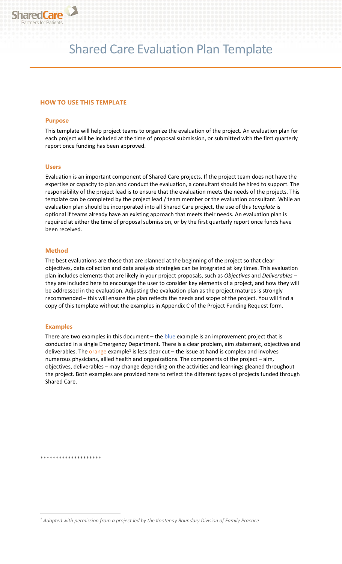

# Shared Care Evaluation Plan Template

#### **HOW TO USE THIS TEMPLATE**

#### **Purpose**

This template will help project teams to organize the evaluation of the project. An evaluation plan for each project will be included at the time of proposal submission, or submitted with the first quarterly report once funding has been approved.

#### **Users**

Evaluation is an important component of Shared Care projects. If the project team does not have the expertise or capacity to plan and conduct the evaluation, a consultant should be hired to support. The responsibility of the project lead is to ensure that the evaluation meets the needs of the projects. This template can be completed by the project lead / team member or the evaluation consultant. While an evaluation plan should be incorporated into all Shared Care project, the use of this *template* is optional if teams already have an existing approach that meets their needs. An evaluation plan is required at either the time of proposal submission, or by the first quarterly report once funds have been received.

#### **Method**

The best evaluations are those that are planned at the beginning of the project so that clear objectives, data collection and data analysis strategies can be integrated at key times. This evaluation plan includes elements that are likely in your project proposals, such as *Objectives* and *Deliverables* – they are included here to encourage the user to consider key elements of a project, and how they will be addressed in the evaluation. Adjusting the evaluation plan as the project matures is strongly recommended – this will ensure the plan reflects the needs and scope of the project. You will find a copy of this template without the examples in Appendix C of the Project Funding Request form.

#### **Examples**

There are two examples in this document  $-$  the blue example is an improvement project that is conducted in a single Emergency Department. There is a clear problem, aim statement, objectives and deliverables. The orange example<sup>1</sup> is less clear cut – the issue at hand is complex and involves numerous physicians, allied health and organizations. The components of the project – aim, objectives, deliverables – may change depending on the activities and learnings gleaned throughout the project. Both examples are provided here to reflect the different types of projects funded through Shared Care.

\*\*\*\*\*\*\*\*\*\*\*\*\*\*\*\*\*\*\*\*

*<sup>1</sup> Adapted with permission from a project led by the Kootenay Boundary Division of Family Practice*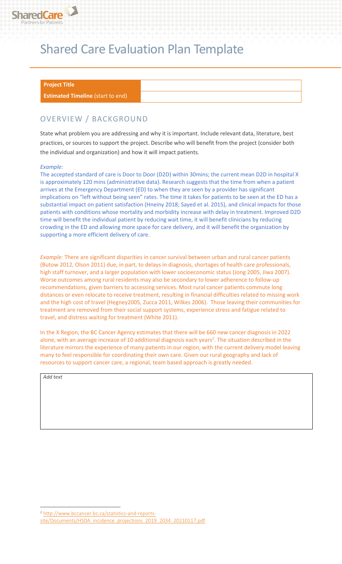

# Shared Care Evaluation Plan Template

#### **Project Title**

**Estimated Timeline** (start to end)

### OVERVIEW / BACKGROUND

State what problem you are addressing and why it is important. Include relevant data, literature, best practices, or sources to support the project. Describe who will benefit from the project (consider both the individual and organization) and how it will impact patients.

#### *Example:*

The accepted standard of care is Door to Door (D2D) within 30mins; the current mean D2D in hospital X is approximately 120 mins (administrative data). Research suggests that the time from when a patient arrives at the Emergency Department (ED) to when they are seen by a provider has significant implications on "left without being seen" rates. The time it takes for patients to be seen at the ED has a substantial impact on patient satisfaction (Hneiny 2018; Sayed et al. 2015), and clinical impacts for those patients with conditions whose mortality and morbidity increase with delay in treatment. Improved D2D time will benefit the individual patient by reducing wait time, it will benefit clinicians by reducing crowding in the ED and allowing more space for care delivery, and it will benefit the organization by supporting a more efficient delivery of care.

*Example:* There are significant disparities in cancer survival between urban and rural cancer patients (Butow 2012, Olson 2011) due, in part, to delays in diagnosis, shortages of health care professionals, high staff turnover, and a larger population with lower socioeconomic status (Jong 2005, Jiwa 2007). Worse outcomes among rural residents may also be secondary to lower adherence to follow-up recommendations, given barriers to accessing services. Most rural cancer patients commute long distances or even relocate to receive treatment, resulting in financial difficulties related to missing work and the high cost of travel (Hegney2005, Zucca 2011, Wilkes 2006). Those leaving their communities for treatment are removed from their social support systems, experience stress and fatigue related to travel, and distress waiting for treatment (White 2011).

In the X Region, the BC Cancer Agency estimates that there will be 660 new cancer diagnosis in 2022 alone, with an average increase of 10 additional diagnosis each years<sup>2</sup>. The situation described in the literature mirrors the experience of many patients in our region, with the current delivery model leaving many to feel responsible for coordinating their own care. Given our rural geography and lack of resources to support cancer care, a regional, team based approach is greatly needed.

*Add text*

<sup>2</sup> [http://www.bccancer.bc.ca/statistics-and-reports](http://www.bccancer.bc.ca/statistics-and-reports-site/Documents/HSDA_incidence_projections_2019_2034_20210117.pdf)[site/Documents/HSDA\\_incidence\\_projections\\_2019\\_2034\\_20210117.pdf](http://www.bccancer.bc.ca/statistics-and-reports-site/Documents/HSDA_incidence_projections_2019_2034_20210117.pdf)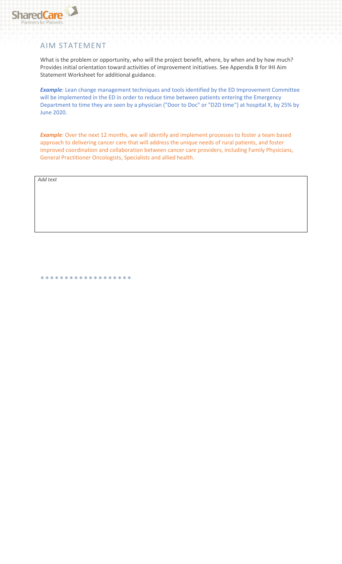

### AIM STATEMENT

What is the problem or opportunity, who will the project benefit, where, by when and by how much? Provides initial orientation toward activities of improvement initiatives. See Appendix B for IHI Aim Statement Worksheet for additional guidance.

**Example**: Lean change management techniques and tools identified by the ED Improvement Committee will be implemented in the ED in order to reduce time between patients entering the Emergency Department to time they are seen by a physician ("Door to Doc" or "D2D time") at hospital X, by 25% by June 2020.

**Example**: Over the next 12 months, we will identify and implement processes to foster a team based approach to delivering cancer care that will address the unique needs of rural patients, and foster improved coordination and collaboration between cancer care providers, including Family Physicians, General Practitioner Oncologists, Specialists and allied health.

*Add text*

\*\*\*\*\*\*\*\*\*\*\*\*\*\*\*\*\*\*\*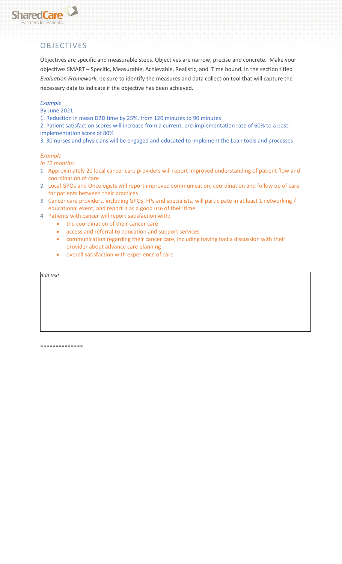

### **OBJECTIVES**

Objectives are specific and measurable steps. Objectives are narrow, precise and concrete. Make your objectives SMART – Specific, Measurable, Achievable, Realistic, and Time bound. In the section titled *Evaluation Framework*, be sure to identify the measures and data collection tool that will capture the necessary data to indicate if the objective has been achieved.

#### *Example*

By June 2021:

1. Reduction in mean D2D time by 25%, from 120 minutes to 90 minutes

2. Patient satisfaction scores will increase from a current, pre-implementation rate of 60% to a postimplementation score of 80%

3. 30 nurses and physicians will be engaged and educated to implement the Lean tools and processes

#### *Example*

*In 12 months:*

- **1** Approximately 20 local cancer care providers will report improved understanding of patient flow and coordination of care
- **2** Local GPOs and Oncologists will report improved communication, coordination and follow up of care for patients between their practices
- **3** Cancer care providers, including GPOs, FPs and specialists, will participate in at least 1 networking / educational event, and report it as a good use of their time
- **4** Patients with cancer will report satisfaction with:
	- the coordination of their cancer care
	- access and referral to education and support services
	- communication regarding their cancer care, including having had a discussion with their provider about advance care planning
	- overall satisfaction with experience of care

*Add text*

\*\*\*\*\*\*\*\*\*\*\*\*\*\*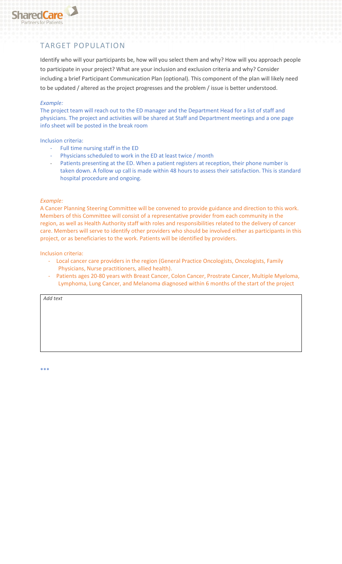

### TARGET POPULATION

Identify who will your participants be, how will you select them and why? How will you approach people to participate in your project? What are your inclusion and exclusion criteria and why? Consider including a brief Participant Communication Plan (optional). This component of the plan will likely need to be updated / altered as the project progresses and the problem / issue is better understood.

#### *Example:*

The project team will reach out to the ED manager and the Department Head for a list of staff and physicians. The project and activities will be shared at Staff and Department meetings and a one page info sheet will be posted in the break room

#### Inclusion criteria:

- Full time nursing staff in the ED
- Physicians scheduled to work in the ED at least twice / month
- Patients presenting at the ED. When a patient registers at reception, their phone number is taken down. A follow up call is made within 48 hours to assess their satisfaction. This is standard hospital procedure and ongoing.

#### *Example:*

A Cancer Planning Steering Committee will be convened to provide guidance and direction to this work. Members of this Committee will consist of a representative provider from each community in the region, as well as Health Authority staff with roles and responsibilities related to the delivery of cancer care. Members will serve to identify other providers who should be involved either as participants in this project, or as beneficiaries to the work. Patients will be identified by providers.

Inclusion criteria:

- Local cancer care providers in the region (General Practice Oncologists, Oncologists, Family Physicians, Nurse practitioners, allied health).
- Patients ages 20-80 years with Breast Cancer, Colon Cancer, Prostrate Cancer, Multiple Myeloma, Lymphoma, Lung Cancer, and Melanoma diagnosed within 6 months of the start of the project

*Add text*

\*\*\*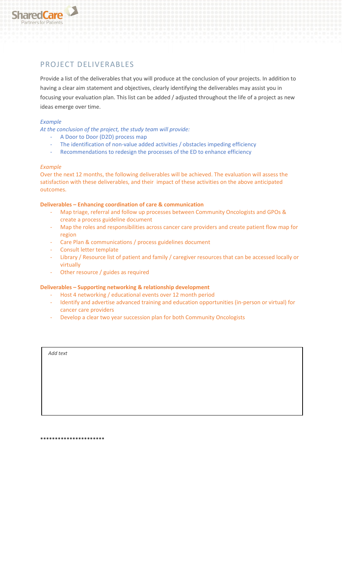

### PROJECT DELIVERABLES

Provide a list of the deliverables that you will produce at the conclusion of your projects. In addition to having a clear aim statement and objectives, clearly identifying the deliverables may assist you in focusing your evaluation plan. This list can be added / adjusted throughout the life of a project as new ideas emerge over time.

#### *Example*

*At the conclusion of the project, the study team will provide:* 

- A Door to Door (D2D) process map
- The identification of non-value added activities / obstacles impeding efficiency
- Recommendations to redesign the processes of the ED to enhance efficiency

#### *Example*

Over the next 12 months, the following deliverables will be achieved. The evaluation will assess the satisfaction with these deliverables, and their impact of these activities on the above anticipated outcomes.

#### **Deliverables – Enhancing coordination of care & communication**

- Map triage, referral and follow up processes between Community Oncologists and GPOs & create a process guideline document
- Map the roles and responsibilities across cancer care providers and create patient flow map for region
- Care Plan & communications / process guidelines document
- Consult letter template
- Library / Resource list of patient and family / caregiver resources that can be accessed locally or virtually
- Other resource / guides as required

#### **Deliverables – Supporting networking & relationship development**

- Host 4 networking / educational events over 12 month period
- Identify and advertise advanced training and education opportunities (in-person or virtual) for cancer care providers
- Develop a clear two year succession plan for both Community Oncologists

*Add text*

\*\*\*\*\*\*\*\*\*\*\*\*\*\*\*\*\*\*\*\*\*\*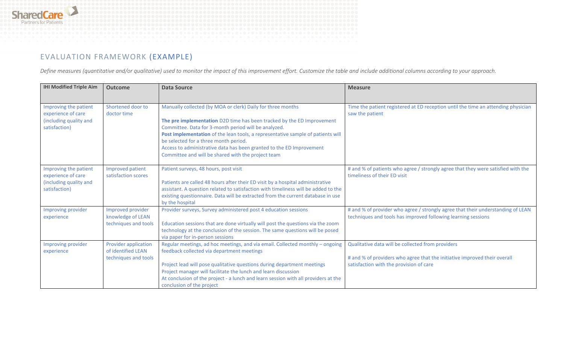

### EVALUATION FRAMEWORK (EXAMPLE)

*Define measures (quantitative and/or qualitative) used to monitor the impact of this improvement effort. Customize the table and include additional columns according to your approach.*

| <b>IHI Modified Triple Aim</b>                                        | <b>Outcome</b>                                    | <b>Data Source</b>                                                                                                                                                   | <b>Measure</b>                                                                                                                                   |
|-----------------------------------------------------------------------|---------------------------------------------------|----------------------------------------------------------------------------------------------------------------------------------------------------------------------|--------------------------------------------------------------------------------------------------------------------------------------------------|
|                                                                       |                                                   |                                                                                                                                                                      |                                                                                                                                                  |
| Improving the patient<br>experience of care<br>(including quality and | Shortened door to<br>doctor time                  | Manually collected (by MOA or clerk) Daily for three months<br>The pre implementation D2D time has been tracked by the ED Improvement                                | Time the patient registered at ED reception until the time an attending physician<br>saw the patient                                             |
| satisfaction)                                                         |                                                   | Committee. Data for 3-month period will be analyzed.<br>Post implementation of the lean tools, a representative sample of patients will                              |                                                                                                                                                  |
|                                                                       |                                                   | be selected for a three month period.<br>Access to administrative data has been granted to the ED Improvement                                                        |                                                                                                                                                  |
|                                                                       |                                                   | Committee and will be shared with the project team                                                                                                                   |                                                                                                                                                  |
| Improving the patient<br>experience of care                           | Improved patient<br>satisfaction scores           | Patient surveys, 48 hours, post visit                                                                                                                                | # and % of patients who agree / strongly agree that they were satisfied with the<br>timeliness of their ED visit                                 |
| (including quality and<br>satisfaction)                               |                                                   | Patients are called 48 hours after their ED visit by a hospital administrative<br>assistant. A question related to satisfaction with timeliness will be added to the |                                                                                                                                                  |
|                                                                       |                                                   | existing questionnaire. Data will be extracted from the current database in use<br>by the hospital                                                                   |                                                                                                                                                  |
| Improving provider<br>experience                                      | Improved provider<br>knowledge of LEAN            | Provider surveys, Survey administered post 4 education sessions                                                                                                      | # and % of provider who agree / strongly agree that their understanding of LEAN<br>techniques and tools has improved following learning sessions |
|                                                                       | techniques and tools                              | Education sessions that are done virtually will post the questions via the zoom<br>technology at the conclusion of the session. The same questions will be posed     |                                                                                                                                                  |
|                                                                       |                                                   | via paper for in-person sessions                                                                                                                                     |                                                                                                                                                  |
| Improving provider<br>experience                                      | <b>Provider application</b><br>of identified LEAN | Regular meetings, ad hoc meetings, and via email. Collected monthly - ongoing<br>feedback collected via department meetings                                          | Qualitative data will be collected from providers                                                                                                |
|                                                                       | techniques and tools                              |                                                                                                                                                                      | # and % of providers who agree that the initiative improved their overall                                                                        |
|                                                                       |                                                   | Project lead will pose qualitative questions during department meetings<br>Project manager will facilitate the lunch and learn discussion                            | satisfaction with the provision of care                                                                                                          |
|                                                                       |                                                   | At conclusion of the project - a lunch and learn session with all providers at the                                                                                   |                                                                                                                                                  |
|                                                                       |                                                   | conclusion of the project                                                                                                                                            |                                                                                                                                                  |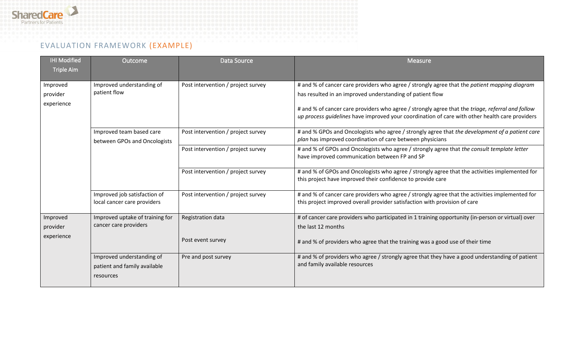

### EVALUATION FRAMEWORK (EXAMPLE)

| <b>IHI Modified</b><br><b>Triple Aim</b> | Outcome                                                                | Data Source                            | <b>Measure</b>                                                                                                                                                                                                                                                                                                                                                  |
|------------------------------------------|------------------------------------------------------------------------|----------------------------------------|-----------------------------------------------------------------------------------------------------------------------------------------------------------------------------------------------------------------------------------------------------------------------------------------------------------------------------------------------------------------|
| Improved<br>provider<br>experience       | Improved understanding of<br>patient flow                              | Post intervention / project survey     | # and % of cancer care providers who agree / strongly agree that the patient mapping diagram<br>has resulted in an improved understanding of patient flow<br># and % of cancer care providers who agree / strongly agree that the triage, referral and follow<br>up process guidelines have improved your coordination of care with other health care providers |
|                                          | Improved team based care<br>between GPOs and Oncologists               | Post intervention / project survey     | # and % GPOs and Oncologists who agree / strongly agree that the development of a patient care<br>plan has improved coordination of care between physicians                                                                                                                                                                                                     |
|                                          |                                                                        | Post intervention / project survey     | # and % of GPOs and Oncologists who agree / strongly agree that the consult template letter<br>have improved communication between FP and SP                                                                                                                                                                                                                    |
|                                          |                                                                        | Post intervention / project survey     | # and % of GPOs and Oncologists who agree / strongly agree that the activities implemented for<br>this project have improved their confidence to provide care                                                                                                                                                                                                   |
|                                          | Improved job satisfaction of<br>local cancer care providers            | Post intervention / project survey     | # and % of cancer care providers who agree / strongly agree that the activities implemented for<br>this project improved overall provider satisfaction with provision of care                                                                                                                                                                                   |
| Improved<br>provider<br>experience       | Improved uptake of training for<br>cancer care providers               | Registration data<br>Post event survey | # of cancer care providers who participated in 1 training opportunity (in-person or virtual) over<br>the last 12 months<br># and % of providers who agree that the training was a good use of their time                                                                                                                                                        |
|                                          | Improved understanding of<br>patient and family available<br>resources | Pre and post survey                    | # and % of providers who agree / strongly agree that they have a good understanding of patient<br>and family available resources                                                                                                                                                                                                                                |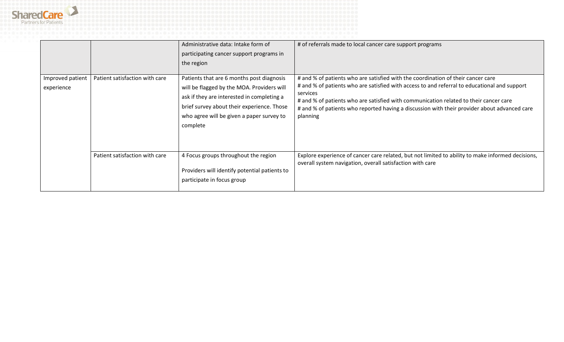

|                                |                                | Administrative data: Intake form of<br>participating cancer support programs in<br>the region                                                                                                                                                | # of referrals made to local cancer care support programs                                                                                                                                                                                                                                                                                                                                         |
|--------------------------------|--------------------------------|----------------------------------------------------------------------------------------------------------------------------------------------------------------------------------------------------------------------------------------------|---------------------------------------------------------------------------------------------------------------------------------------------------------------------------------------------------------------------------------------------------------------------------------------------------------------------------------------------------------------------------------------------------|
| Improved patient<br>experience | Patient satisfaction with care | Patients that are 6 months post diagnosis<br>will be flagged by the MOA. Providers will<br>ask if they are interested in completing a<br>brief survey about their experience. Those<br>who agree will be given a paper survey to<br>complete | # and % of patients who are satisfied with the coordination of their cancer care<br># and % of patients who are satisfied with access to and referral to educational and support<br>services<br># and % of patients who are satisfied with communication related to their cancer care<br># and % of patients who reported having a discussion with their provider about advanced care<br>planning |
|                                | Patient satisfaction with care | 4 Focus groups throughout the region<br>Providers will identify potential patients to<br>participate in focus group                                                                                                                          | Explore experience of cancer care related, but not limited to ability to make informed decisions,<br>overall system navigation, overall satisfaction with care                                                                                                                                                                                                                                    |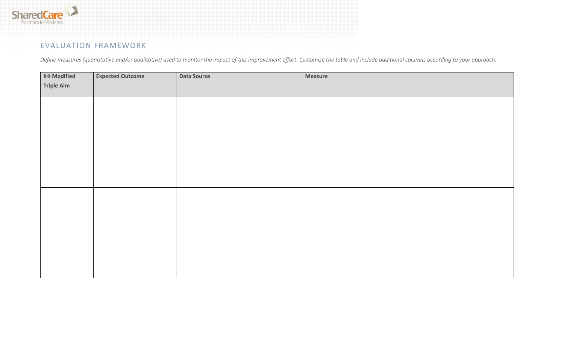

### EVALUATION FRAMEWORK

*Define measures (quantitative and/or qualitative) used to monitor the impact of this improvement effort. Customize the table and include additional columns according to your approach.*

| <b>IHI Modified</b> | <b>Expected Outcome</b> | <b>Data Source</b> | <b>Measure</b> |
|---------------------|-------------------------|--------------------|----------------|
| <b>Triple Aim</b>   |                         |                    |                |
|                     |                         |                    |                |
|                     |                         |                    |                |
|                     |                         |                    |                |
|                     |                         |                    |                |
|                     |                         |                    |                |
|                     |                         |                    |                |
|                     |                         |                    |                |
|                     |                         |                    |                |
|                     |                         |                    |                |
|                     |                         |                    |                |
|                     |                         |                    |                |
|                     |                         |                    |                |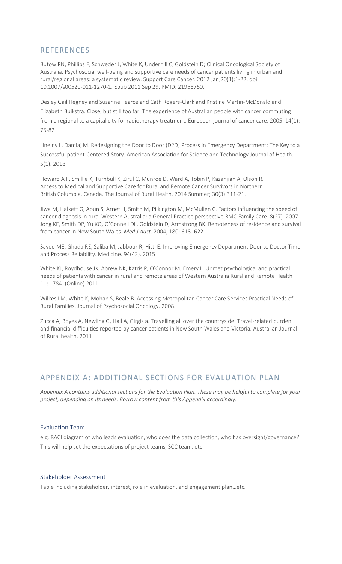### **REFERENCES**

Butow PN, Phillips F, Schweder J, White K, Underhill C, Goldstein D; Clinical Oncological Society of Australia. Psychosocial well-being and supportive care needs of cancer patients living in urban and rural/regional areas: a systematic review. Support Care Cancer. 2012 Jan;20(1):1-22. doi: 10.1007/s00520-011-1270-1. Epub 2011 Sep 29. PMID: 21956760.

Desley Gail Hegney and Susanne Pearce and Cath Rogers-Clark and Kristine Martin-McDonald and Elizabeth Buikstra. Close, but still too far. The experience of Australian people with cancer commuting from a regional to a capital city for radiotherapy treatment. European journal of cancer care. 2005. 14(1): 75-82

Hneiny L, Damlaj M. Redesigning the Door to Door (D2D) Process in Emergency Department: The Key to a Successful patient-Centered Story. American Association for Science and Technology Journal of Health. 5(1). 2018

Howard A F, Smillie K, Turnbull K, Zirul C, Munroe D, Ward A, Tobin P, Kazanjian A, Olson R. Access to Medical and Supportive Care for Rural and Remote Cancer Survivors in Northern British Columbia, Canada. The Journal of Rural Health. 2014 Summer; 30(3):311-21.

Jiwa M, Halkett G, Aoun S, Arnet H, Smith M, Pilkington M, McMullen C. Factors influencing the speed of cancer diagnosis in rural Western Australia: a General Practice perspective.BMC Family Care. 8(27). 2007 Jong KE, Smith DP, Yu XQ, O'Connell DL, Goldstein D, Armstrong BK. Remoteness of residence and survival from cancer in New South Wales. *Med J Aust*. 2004; 180: 618- 622.

Sayed ME, Ghada RE, Saliba M, Jabbour R, Hitti E. Improving Emergency Department Door to Doctor Time and Process Reliability. Medicine. 94(42). 2015

White KJ, Roydhouse JK, Abrew NK, Katris P, O'Connor M, Emery L. Unmet psychological and practical needs of patients with cancer in rural and remote areas of Western Australia Rural and Remote Health 11: 1784. (Online) 2011

Wilkes LM, White K, Mohan S, Beale B. Accessing Metropolitan Cancer Care Services Practical Needs of Rural Families. Journal of Psychosocial Oncology. 2008.

Zucca A, Boyes A, Newling G, Hall A, Girgis a. Travelling all over the countryside: Travel-related burden and financial difficulties reported by cancer patients in New South Wales and Victoria. Australian Journal of Rural health. 2011

### APPENDIX A: ADDITIONAL SECTIONS FOR EVALUATION PLAN

*Appendix A contains additional sections for the Evaluation Plan. These may be helpful to complete for your project, depending on its needs. Borrow content from this Appendix accordingly.*

#### Evaluation Team

e.g. RACI diagram of who leads evaluation, who does the data collection, who has oversight/governance? This will help set the expectations of project teams, SCC team, etc.

#### Stakeholder Assessment

Table including stakeholder, interest, role in evaluation, and engagement plan…etc.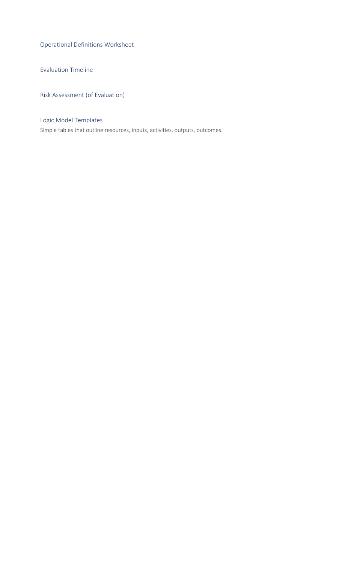Operational Definitions Worksheet

Evaluation Timeline

Risk Assessment (of Evaluation)

### Logic Model Templates

Simple tables that outline resources, inputs, activities, outputs, outcomes.